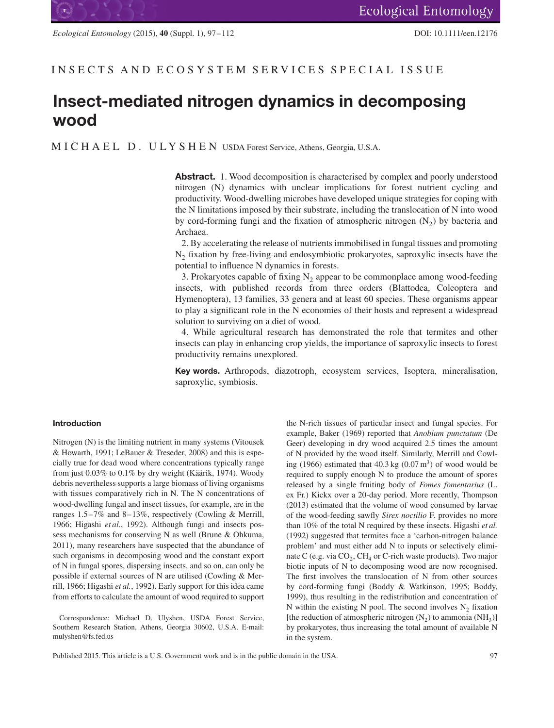

*Ecological Entomology* (2015), **40** (Suppl. 1), 97–112 DOI: 10.1111/een.12176

# INSECTS AND ECOSYSTEM SERVICES SPECIAL ISSUE

# **Insect-mediated nitrogen dynamics in decomposing wood**

M ICHAEL D. ULYSHEN USDA Forest Service, Athens, Georgia, U.S.A.

**Abstract.** 1. Wood decomposition is characterised by complex and poorly understood nitrogen (N) dynamics with unclear implications for forest nutrient cycling and productivity. Wood-dwelling microbes have developed unique strategies for coping with the N limitations imposed by their substrate, including the translocation of N into wood by cord-forming fungi and the fixation of atmospheric nitrogen  $(N_2)$  by bacteria and Archaea.

2. By accelerating the release of nutrients immobilised in fungal tissues and promoting  $N<sub>2</sub>$  fixation by free-living and endosymbiotic prokaryotes, saproxylic insects have the potential to influence N dynamics in forests.

3. Prokaryotes capable of fixing  $N<sub>2</sub>$  appear to be commonplace among wood-feeding insects, with published records from three orders (Blattodea, Coleoptera and Hymenoptera), 13 families, 33 genera and at least 60 species. These organisms appear to play a significant role in the N economies of their hosts and represent a widespread solution to surviving on a diet of wood.

4. While agricultural research has demonstrated the role that termites and other insects can play in enhancing crop yields, the importance of saproxylic insects to forest productivity remains unexplored.

**Key words.** Arthropods, diazotroph, ecosystem services, Isoptera, mineralisation, saproxylic, symbiosis.

#### **Introduction**

Nitrogen (N) is the limiting nutrient in many systems (Vitousek & Howarth, 1991; LeBauer & Treseder, 2008) and this is especially true for dead wood where concentrations typically range from just 0.03% to 0.1% by dry weight (Käärik, 1974). Woody debris nevertheless supports a large biomass of living organisms with tissues comparatively rich in N. The N concentrations of wood-dwelling fungal and insect tissues, for example, are in the ranges 1.5–7% and 8–13%, respectively (Cowling & Merrill, 1966; Higashi *et al.*, 1992). Although fungi and insects possess mechanisms for conserving N as well (Brune & Ohkuma, 2011), many researchers have suspected that the abundance of such organisms in decomposing wood and the constant export of N in fungal spores, dispersing insects, and so on, can only be possible if external sources of N are utilised (Cowling & Merrill, 1966; Higashi *et al.*, 1992). Early support for this idea came from efforts to calculate the amount of wood required to support

Correspondence: Michael D. Ulyshen, USDA Forest Service, Southern Research Station, Athens, Georgia 30602, U.S.A. E-mail: mulyshen@fs.fed.us

the N-rich tissues of particular insect and fungal species. For example, Baker (1969) reported that *Anobium punctatum* (De Geer) developing in dry wood acquired 2.5 times the amount of N provided by the wood itself. Similarly, Merrill and Cowling (1966) estimated that  $40.3 \text{ kg}$  (0.07 m<sup>3</sup>) of wood would be required to supply enough N to produce the amount of spores released by a single fruiting body of *Fomes fomentarius* (L. ex Fr.) Kickx over a 20-day period. More recently, Thompson (2013) estimated that the volume of wood consumed by larvae of the wood-feeding sawfly *Sirex noctilio* F. provides no more than 10% of the total N required by these insects. Higashi *et al.* (1992) suggested that termites face a 'carbon-nitrogen balance problem' and must either add N to inputs or selectively eliminate C (e.g. via  $CO<sub>2</sub>$ , CH<sub>4</sub> or C-rich waste products). Two major biotic inputs of N to decomposing wood are now recognised. The first involves the translocation of N from other sources by cord-forming fungi (Boddy & Watkinson, 1995; Boddy, 1999), thus resulting in the redistribution and concentration of N within the existing N pool. The second involves  $N_2$  fixation [the reduction of atmospheric nitrogen  $(N_2)$  to ammonia  $(NH_3)$ ] by prokaryotes, thus increasing the total amount of available N in the system.

Published 2015. This article is a U.S. Government work and is in the public domain in the USA. 97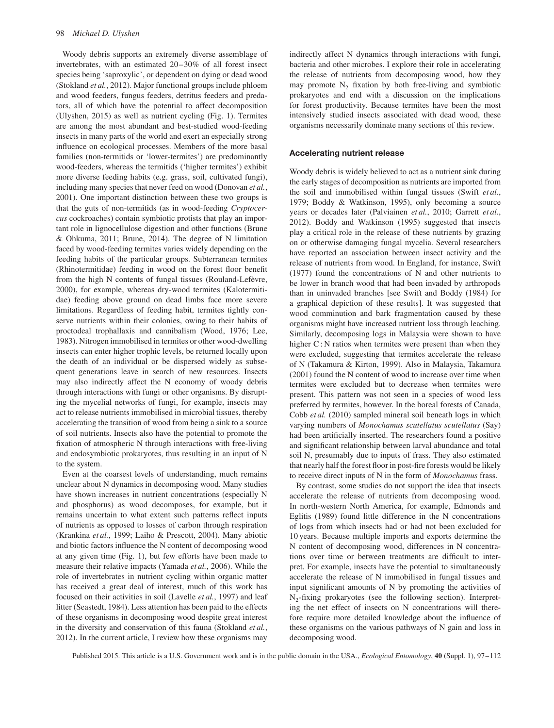Woody debris supports an extremely diverse assemblage of invertebrates, with an estimated 20–30% of all forest insect species being 'saproxylic', or dependent on dying or dead wood (Stokland *et al.*, 2012). Major functional groups include phloem and wood feeders, fungus feeders, detritus feeders and predators, all of which have the potential to affect decomposition (Ulyshen, 2015) as well as nutrient cycling (Fig. 1). Termites are among the most abundant and best-studied wood-feeding insects in many parts of the world and exert an especially strong influence on ecological processes. Members of the more basal families (non-termitids or 'lower-termites') are predominantly wood-feeders, whereas the termitids ('higher termites') exhibit more diverse feeding habits (e.g. grass, soil, cultivated fungi), including many species that never feed on wood (Donovan *et al.*, 2001). One important distinction between these two groups is that the guts of non-termitids (as in wood-feeding *Cryptocercus* cockroaches) contain symbiotic protists that play an important role in lignocellulose digestion and other functions (Brune & Ohkuma, 2011; Brune, 2014). The degree of N limitation faced by wood-feeding termites varies widely depending on the feeding habits of the particular groups. Subterranean termites (Rhinotermitidae) feeding in wood on the forest floor benefit from the high N contents of fungal tissues (Rouland-Lefèvre, 2000), for example, whereas dry-wood termites (Kalotermitidae) feeding above ground on dead limbs face more severe limitations. Regardless of feeding habit, termites tightly conserve nutrients within their colonies, owing to their habits of proctodeal trophallaxis and cannibalism (Wood, 1976; Lee, 1983). Nitrogen immobilised in termites or other wood-dwelling insects can enter higher trophic levels, be returned locally upon the death of an individual or be dispersed widely as subsequent generations leave in search of new resources. Insects may also indirectly affect the N economy of woody debris through interactions with fungi or other organisms. By disrupting the mycelial networks of fungi, for example, insects may act to release nutrients immobilised in microbial tissues, thereby accelerating the transition of wood from being a sink to a source of soil nutrients. Insects also have the potential to promote the fixation of atmospheric N through interactions with free-living and endosymbiotic prokaryotes, thus resulting in an input of N to the system.

Even at the coarsest levels of understanding, much remains unclear about N dynamics in decomposing wood. Many studies have shown increases in nutrient concentrations (especially N and phosphorus) as wood decomposes, for example, but it remains uncertain to what extent such patterns reflect inputs of nutrients as opposed to losses of carbon through respiration (Krankina *et al.*, 1999; Laiho & Prescott, 2004). Many abiotic and biotic factors influence the N content of decomposing wood at any given time (Fig. 1), but few efforts have been made to measure their relative impacts (Yamada *et al.*, 2006). While the role of invertebrates in nutrient cycling within organic matter has received a great deal of interest, much of this work has focused on their activities in soil (Lavelle *et al.*, 1997) and leaf litter (Seastedt, 1984). Less attention has been paid to the effects of these organisms in decomposing wood despite great interest in the diversity and conservation of this fauna (Stokland *et al.*, 2012). In the current article, I review how these organisms may

indirectly affect N dynamics through interactions with fungi, bacteria and other microbes. I explore their role in accelerating the release of nutrients from decomposing wood, how they may promote  $N_2$  fixation by both free-living and symbiotic prokaryotes and end with a discussion on the implications for forest productivity. Because termites have been the most intensively studied insects associated with dead wood, these organisms necessarily dominate many sections of this review.

# **Accelerating nutrient release**

Woody debris is widely believed to act as a nutrient sink during the early stages of decomposition as nutrients are imported from the soil and immobilised within fungal tissues (Swift *et al.*, 1979; Boddy & Watkinson, 1995), only becoming a source years or decades later (Palviainen *et al.*, 2010; Garrett *et al.*, 2012). Boddy and Watkinson (1995) suggested that insects play a critical role in the release of these nutrients by grazing on or otherwise damaging fungal mycelia. Several researchers have reported an association between insect activity and the release of nutrients from wood. In England, for instance, Swift (1977) found the concentrations of N and other nutrients to be lower in branch wood that had been invaded by arthropods than in uninvaded branches [see Swift and Boddy (1984) for a graphical depiction of these results]. It was suggested that wood comminution and bark fragmentation caused by these organisms might have increased nutrient loss through leaching. Similarly, decomposing logs in Malaysia were shown to have higher C: N ratios when termites were present than when they were excluded, suggesting that termites accelerate the release of N (Takamura & Kirton, 1999). Also in Malaysia, Takamura (2001) found the N content of wood to increase over time when termites were excluded but to decrease when termites were present. This pattern was not seen in a species of wood less preferred by termites, however. In the boreal forests of Canada, Cobb *et al.* (2010) sampled mineral soil beneath logs in which varying numbers of *Monochamus scutellatus scutellatus* (Say) had been artificially inserted. The researchers found a positive and significant relationship between larval abundance and total soil N, presumably due to inputs of frass. They also estimated that nearly half the forest floor in post-fire forests would be likely to receive direct inputs of N in the form of *Monochamus* frass.

By contrast, some studies do not support the idea that insects accelerate the release of nutrients from decomposing wood. In north-western North America, for example, Edmonds and Eglitis (1989) found little difference in the N concentrations of logs from which insects had or had not been excluded for 10 years. Because multiple imports and exports determine the N content of decomposing wood, differences in N concentrations over time or between treatments are difficult to interpret. For example, insects have the potential to simultaneously accelerate the release of N immobilised in fungal tissues and input significant amounts of N by promoting the activities of  $N_2$ -fixing prokaryotes (see the following section). Interpreting the net effect of insects on N concentrations will therefore require more detailed knowledge about the influence of these organisms on the various pathways of N gain and loss in decomposing wood.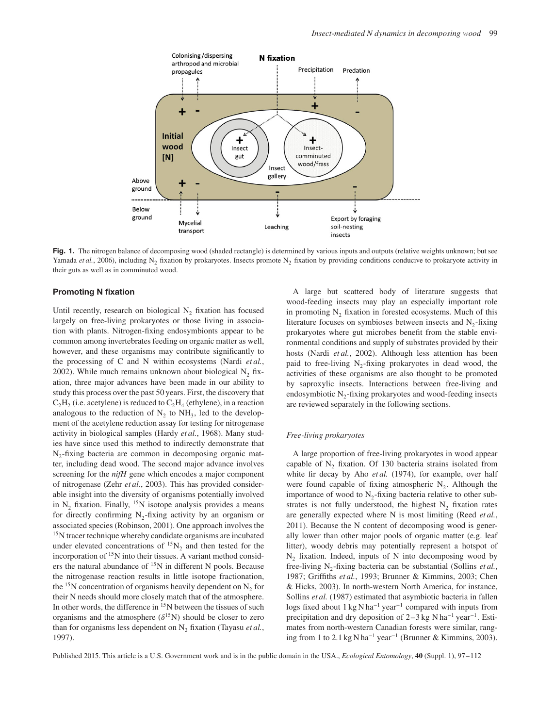

Fig. 1. The nitrogen balance of decomposing wood (shaded rectangle) is determined by various inputs and outputs (relative weights unknown; but see Yamada *et al.*, 2006), including N<sub>2</sub> fixation by prokaryotes. Insects promote N<sub>2</sub> fixation by providing conditions conducive to prokaryote activity in their guts as well as in comminuted wood.

# **Promoting N fixation**

Until recently, research on biological  $N<sub>2</sub>$  fixation has focused largely on free-living prokaryotes or those living in association with plants. Nitrogen-fixing endosymbionts appear to be common among invertebrates feeding on organic matter as well, however, and these organisms may contribute significantly to the processing of C and N within ecosystems (Nardi *et al.*, 2002). While much remains unknown about biological  $N_2$  fixation, three major advances have been made in our ability to study this process over the past 50 years. First, the discovery that  $C_2H_2$  (i.e. acetylene) is reduced to  $C_2H_4$  (ethylene), in a reaction analogous to the reduction of  $N_2$  to  $NH_3$ , led to the development of the acetylene reduction assay for testing for nitrogenase activity in biological samples (Hardy *et al.*, 1968). Many studies have since used this method to indirectly demonstrate that  $N<sub>2</sub>$ -fixing bacteria are common in decomposing organic matter, including dead wood. The second major advance involves screening for the *nifH* gene which encodes a major component of nitrogenase (Zehr *et al.*, 2003). This has provided considerable insight into the diversity of organisms potentially involved in  $N_2$  fixation. Finally, <sup>15</sup>N isotope analysis provides a means for directly confirming  $N_2$ -fixing activity by an organism or associated species (Robinson, 2001). One approach involves the <sup>15</sup>N tracer technique whereby candidate organisms are incubated under elevated concentrations of  ${}^{15}N_2$  and then tested for the incorporation of 15N into their tissues. A variant method considers the natural abundance of 15N in different N pools. Because the nitrogenase reaction results in little isotope fractionation, the  $15N$  concentration of organisms heavily dependent on N<sub>2</sub> for their N needs should more closely match that of the atmosphere. In other words, the difference in <sup>15</sup>N between the tissues of such organisms and the atmosphere ( $\delta^{15}N$ ) should be closer to zero than for organisms less dependent on  $N_2$  fixation (Tayasu *et al.*, 1997).

A large but scattered body of literature suggests that wood-feeding insects may play an especially important role in promoting  $N<sub>2</sub>$  fixation in forested ecosystems. Much of this literature focuses on symbioses between insects and  $N_2$ -fixing prokaryotes where gut microbes benefit from the stable environmental conditions and supply of substrates provided by their hosts (Nardi *et al.*, 2002). Although less attention has been paid to free-living  $N_2$ -fixing prokaryotes in dead wood, the activities of these organisms are also thought to be promoted by saproxylic insects. Interactions between free-living and endosymbiotic  $N<sub>2</sub>$ -fixing prokaryotes and wood-feeding insects are reviewed separately in the following sections.

#### *Free-living prokaryotes*

A large proportion of free-living prokaryotes in wood appear capable of  $N_2$  fixation. Of 130 bacteria strains isolated from white fir decay by Aho *et al.* (1974), for example, over half were found capable of fixing atmospheric  $N<sub>2</sub>$ . Although the importance of wood to  $N_2$ -fixing bacteria relative to other substrates is not fully understood, the highest  $N<sub>2</sub>$  fixation rates are generally expected where N is most limiting (Reed *et al.*, 2011). Because the N content of decomposing wood is generally lower than other major pools of organic matter (e.g. leaf litter), woody debris may potentially represent a hotspot of  $N<sub>2</sub>$  fixation. Indeed, inputs of N into decomposing wood by free-living N<sub>2</sub>-fixing bacteria can be substantial (Sollins *et al.*, 1987; Griffiths *et al.*, 1993; Brunner & Kimmins, 2003; Chen & Hicks, 2003). In north-western North America, for instance, Sollins *et al.* (1987) estimated that asymbiotic bacteria in fallen logs fixed about 1 kg N ha<sup>−</sup><sup>1</sup> year<sup>−</sup><sup>1</sup> compared with inputs from precipitation and dry deposition of  $2-3$  kg N ha<sup>-1</sup> year<sup>-1</sup>. Estimates from north-western Canadian forests were similar, ranging from 1 to 2.1 kg N ha<sup>-1</sup> year<sup>-1</sup> (Brunner & Kimmins, 2003).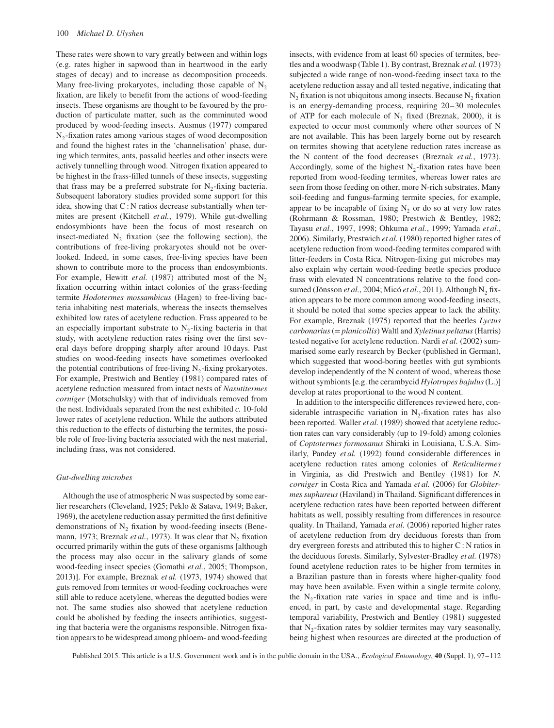These rates were shown to vary greatly between and within logs (e.g. rates higher in sapwood than in heartwood in the early stages of decay) and to increase as decomposition proceeds. Many free-living prokaryotes, including those capable of  $N<sub>2</sub>$ fixation, are likely to benefit from the actions of wood-feeding insects. These organisms are thought to be favoured by the production of particulate matter, such as the comminuted wood produced by wood-feeding insects. Ausmus (1977) compared  $N<sub>2</sub>$ -fixation rates among various stages of wood decomposition and found the highest rates in the 'channelisation' phase, during which termites, ants, passalid beetles and other insects were actively tunnelling through wood. Nitrogen fixation appeared to be highest in the frass-filled tunnels of these insects, suggesting that frass may be a preferred substrate for  $N_2$ -fixing bacteria. Subsequent laboratory studies provided some support for this idea, showing that  $C: N$  ratios decrease substantially when termites are present (Kitchell *et al.*, 1979). While gut-dwelling endosymbionts have been the focus of most research on insect-mediated  $N_2$  fixation (see the following section), the contributions of free-living prokaryotes should not be overlooked. Indeed, in some cases, free-living species have been shown to contribute more to the process than endosymbionts. For example, Hewitt *et al.* (1987) attributed most of the  $N_2$ fixation occurring within intact colonies of the grass-feeding termite *Hodotermes mossambicus* (Hagen) to free-living bacteria inhabiting nest materials, whereas the insects themselves exhibited low rates of acetylene reduction. Frass appeared to be an especially important substrate to  $N<sub>2</sub>$ -fixing bacteria in that study, with acetylene reduction rates rising over the first several days before dropping sharply after around 10 days. Past studies on wood-feeding insects have sometimes overlooked the potential contributions of free-living  $N_2$ -fixing prokaryotes. For example, Prestwich and Bentley (1981) compared rates of acetylene reduction measured from intact nests of *Nasutitermes corniger* (Motschulsky) with that of individuals removed from the nest. Individuals separated from the nest exhibited *c.* 10-fold lower rates of acetylene reduction. While the authors attributed this reduction to the effects of disturbing the termites, the possible role of free-living bacteria associated with the nest material, including frass, was not considered.

#### *Gut-dwelling microbes*

Although the use of atmospheric N was suspected by some earlier researchers (Cleveland, 1925; Peklo & Satava, 1949; Baker, 1969), the acetylene reduction assay permitted the first definitive demonstrations of  $N<sub>2</sub>$  fixation by wood-feeding insects (Benemann, 1973; Breznak *et al.*, 1973). It was clear that  $N_2$  fixation occurred primarily within the guts of these organisms [although the process may also occur in the salivary glands of some wood-feeding insect species (Gomathi *et al.*, 2005; Thompson, 2013)]. For example, Breznak *et al.* (1973, 1974) showed that guts removed from termites or wood-feeding cockroaches were still able to reduce acetylene, whereas the degutted bodies were not. The same studies also showed that acetylene reduction could be abolished by feeding the insects antibiotics, suggesting that bacteria were the organisms responsible. Nitrogen fixation appears to be widespread among phloem- and wood-feeding insects, with evidence from at least 60 species of termites, beetles and a woodwasp (Table 1). By contrast, Breznak *et al.* (1973) subjected a wide range of non-wood-feeding insect taxa to the acetylene reduction assay and all tested negative, indicating that  $N<sub>2</sub>$  fixation is not ubiquitous among insects. Because  $N<sub>2</sub>$  fixation is an energy-demanding process, requiring 20–30 molecules of ATP for each molecule of  $N_2$  fixed (Breznak, 2000), it is expected to occur most commonly where other sources of N are not available. This has been largely borne out by research on termites showing that acetylene reduction rates increase as the N content of the food decreases (Breznak *et al.*, 1973). Accordingly, some of the highest  $N_2$ -fixation rates have been reported from wood-feeding termites, whereas lower rates are seen from those feeding on other, more N-rich substrates. Many soil-feeding and fungus-farming termite species, for example, appear to be incapable of fixing  $N<sub>2</sub>$  or do so at very low rates (Rohrmann & Rossman, 1980; Prestwich & Bentley, 1982; Tayasu *et al.*, 1997, 1998; Ohkuma *et al.*, 1999; Yamada *et al.*, 2006). Similarly, Prestwich *et al.* (1980) reported higher rates of acetylene reduction from wood-feeding termites compared with litter-feeders in Costa Rica. Nitrogen-fixing gut microbes may also explain why certain wood-feeding beetle species produce frass with elevated N concentrations relative to the food consumed (Jönsson *et al.*, 2004; Micó *et al.*, 2011). Although N<sub>2</sub> fixation appears to be more common among wood-feeding insects, it should be noted that some species appear to lack the ability. For example, Breznak (1975) reported that the beetles *Lyctus carbonarius*(=*planicollis*) Waltl and *Xyletinus peltatus*(Harris) tested negative for acetylene reduction. Nardi *et al.* (2002) summarised some early research by Becker (published in German), which suggested that wood-boring beetles with gut symbionts develop independently of the N content of wood, whereas those without symbionts [e.g. the cerambycid *Hylotrupes bajulus*(L.)] develop at rates proportional to the wood N content.

In addition to the interspecific differences reviewed here, considerable intraspecific variation in  $N_2$ -fixation rates has also been reported. Waller *et al.* (1989) showed that acetylene reduction rates can vary considerably (up to 19-fold) among colonies of *Coptotermes formosanus* Shiraki in Louisiana, U.S.A. Similarly, Pandey *et al.* (1992) found considerable differences in acetylene reduction rates among colonies of *Reticulitermes* in Virginia, as did Prestwich and Bentley (1981) for *N. corniger* in Costa Rica and Yamada *et al.* (2006) for *Globitermes suphureus*(Haviland) in Thailand. Significant differences in acetylene reduction rates have been reported between different habitats as well, possibly resulting from differences in resource quality. In Thailand, Yamada *et al.* (2006) reported higher rates of acetylene reduction from dry deciduous forests than from dry evergreen forests and attributed this to higher C : N ratios in the deciduous forests. Similarly, Sylvester-Bradley *et al.* (1978) found acetylene reduction rates to be higher from termites in a Brazilian pasture than in forests where higher-quality food may have been available. Even within a single termite colony, the  $N_2$ -fixation rate varies in space and time and is influenced, in part, by caste and developmental stage. Regarding temporal variability, Prestwich and Bentley (1981) suggested that  $N<sub>2</sub>$ -fixation rates by soldier termites may vary seasonally, being highest when resources are directed at the production of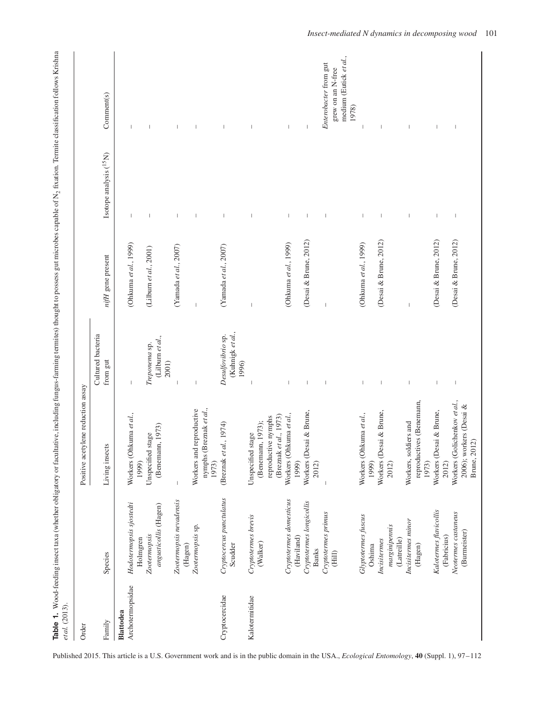| Order            |                                              | Positive acetylene reduction assay                                                      |                                                |                           |                                   |                                                                               |
|------------------|----------------------------------------------|-----------------------------------------------------------------------------------------|------------------------------------------------|---------------------------|-----------------------------------|-------------------------------------------------------------------------------|
|                  |                                              |                                                                                         | Cultured bacteria                              |                           |                                   |                                                                               |
| Family           | Species                                      | Living insects                                                                          | from gut                                       | $nifH$ gene present       | Isotope analysis $(^{15}{\rm N})$ | Comment(s)                                                                    |
| Blattodea        |                                              |                                                                                         |                                                |                           |                                   |                                                                               |
| Archotermopsidae | Hodoternopsis sjostedti<br>Holmgren          | Workers (Ohkuma et al.,<br>1999)                                                        | $\mathsf I$                                    | (Ohkuma et al., 1999)     | $\mathbf{I}$                      | $\overline{\phantom{a}}$                                                      |
|                  | Zootermopsis                                 | Unspecified stage                                                                       | Treponema sp.                                  | (Lilburn et al., $2001$ ) |                                   |                                                                               |
|                  | angusticollis (Hagen)                        | (Benemann, 1973)                                                                        | (Lilburn et al.,<br>2001)                      |                           |                                   |                                                                               |
|                  | Zootermopsis nevadensis<br>(Hagen)           |                                                                                         |                                                | (Yamada et al., 2007)     |                                   |                                                                               |
|                  | Zootermopsis sp.                             | Workers and reproductive<br>nymphs (Breznak et al.,<br>1973)                            | $\mathbf{I}$                                   | $\mathbf{I}$              |                                   |                                                                               |
| Cryptocercidae   | Cryptocercus punctulatus<br>Scudder          | (Breznak et al., 1974)                                                                  | (Kuhnigk et al.,<br>Desulfovibrio sp.<br>1996) | (Yamada et al., 2007)     |                                   |                                                                               |
| Kalotermitidae   | Cryptotermes brevis<br>(Walker)              | (Breznak et al., 1973)<br>reproductive nymphs<br>(Benemann, 1973);<br>Unspecified stage |                                                |                           |                                   |                                                                               |
|                  | Cryptotermes domesticus<br>(Haviland)        | Workers (Ohkuma et al.,<br>1999)                                                        |                                                | (Ohkuma et al., 1999)     | 1                                 | $\overline{\phantom{a}}$                                                      |
|                  | Cryptotermes longicollis<br><b>Banks</b>     | Workers (Desai & Brune,<br>2012)                                                        |                                                | (Desai & Brune, 2012)     |                                   | $\overline{\phantom{a}}$                                                      |
|                  | Cryptotermes primus<br>(Hill)                |                                                                                         |                                                |                           |                                   | medium (Eutick et al.,<br>Enterobacter from gut<br>grew on an N-free<br>1978) |
|                  | Glyptotermes fuscus<br>Oshima                | Workers (Ohkuma et al.,<br>1999)                                                        |                                                | (Ohkuma et al., 1999)     |                                   | I                                                                             |
|                  | marginipennis<br>(Latreille)<br>Incisitermes | Workers (Desai & Brune,<br>2012)                                                        | т                                              | (Desai & Brune, 2012)     | т                                 |                                                                               |
|                  | Incisitermes minor<br>(Hagen)                | reproductives (Benemann,<br>Workers, soldiers and<br>1973)                              |                                                |                           |                                   |                                                                               |
|                  | Kaloternes flavicollis<br>(Fabricius)        | Workers (Desai & Brune,<br>2012)                                                        | $\overline{\phantom{a}}$                       | (Desai & Brune, 2012)     | $\overline{\phantom{a}}$          | 1                                                                             |
|                  | Neoternes castaneus<br>(Burmeister)          | Workers (Golichenkov et al.,<br>2006); workers (Desai &<br>Brune, 2012)                 | $\begin{array}{c} \end{array}$                 | (Desai & Brune, 2012)     | $\overline{\phantom{a}}$          |                                                                               |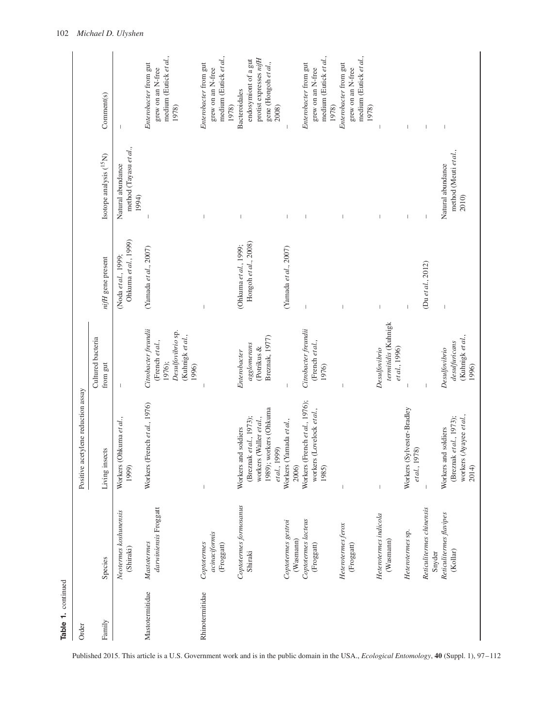|                    |                                    | Comment(s)                                                 |                                                      | medium (Eutick et al.,<br>Enterobacter from gut<br>grew on an N-free<br>1978)                       | medium (Eutick et al.,<br>Enterobacter from gut<br>grew on an N-free<br>1978) | protist expresses nifH<br>endosymiont of a gut<br>gene (Hongoh et al.,<br><b>Bacteroidales</b><br>2008)                 |                                  | medium (Eutick et al.,<br>Enterobacter from gut<br>grew on an N-free<br>1978) | medium (Eutick et al.,<br>Enterobacter from gut<br>grew on an N-free<br>1978) |                                                         |                                               |                                    |                                                                            |
|--------------------|------------------------------------|------------------------------------------------------------|------------------------------------------------------|-----------------------------------------------------------------------------------------------------|-------------------------------------------------------------------------------|-------------------------------------------------------------------------------------------------------------------------|----------------------------------|-------------------------------------------------------------------------------|-------------------------------------------------------------------------------|---------------------------------------------------------|-----------------------------------------------|------------------------------------|----------------------------------------------------------------------------|
|                    |                                    | Isotope analysis $(^{15}{\rm N})$                          | method (Tayasu et al.,<br>Natural abundance<br>1994) |                                                                                                     |                                                                               |                                                                                                                         | I                                |                                                                               |                                                                               |                                                         |                                               |                                    | method (Meuti et al.,<br>Natural abundance<br>2010)                        |
|                    |                                    | $\it{nifH}$ gene present                                   | Ohkuma et al., 1999)<br>(Noda et al., 1999;          | (Yamada et al., 2007)                                                                               |                                                                               | Hongoh et al., 2008)<br>(Ohkuma et al., 1999;                                                                           | (Yamada et al., 2007)            | $\overline{\phantom{a}}$                                                      |                                                                               |                                                         |                                               | (Du et al., 2012)                  |                                                                            |
|                    |                                    | Cultured bacteria<br>from $\mathsf{g}\mathsf{u}\mathsf{t}$ |                                                      | Citrobacter freundii<br>Desulfovibrio sp.<br>(Kuhnigk et al.,<br>(French et al.,<br>1976);<br>1996) |                                                                               | Breznak, 1977)<br>agglomerans<br>(Potrikus &<br>Enterobacter                                                            |                                  | Citrobacter freundii<br>(French et al.,<br>1976)                              |                                                                               | termitidis (Kuhnigk<br>et al., 1996)<br>$Desu$ fovibrio |                                               |                                    | (Kuhnigk et al.,<br>desulfuricans<br>Desulfovibrio                         |
|                    | Positive acetylene reduction assay | insects<br>Living:                                         | Workers (Ohkuma et al.,<br>1999)                     | Workers (French et al., 1976)                                                                       |                                                                               | 1989); workers (Ohkuma<br>(Breznak et al., 1973);<br>workers (Waller et al.,<br>Workers and soldiers<br>$et al., 1999)$ | Workers (Yamada et al.,<br>2006) | Workers (French et al., 1976);<br>workers (Lovelock et al.,<br>1985)          |                                                                               |                                                         | Workers (Sylvester-Bradley<br>$et al., 1978)$ |                                    | workers (Ayayee et al.,<br>(Breznak et al., 1973);<br>Workers and soldiers |
|                    |                                    | Species                                                    | Neoternes koshunensis<br>(Shiraki)                   | darwiniensis Froggatt<br>Mastoternes                                                                | acinaciformis<br>Coptotermes<br>(Froggatt)                                    | Coptotermes formosanus<br>Shiraki                                                                                       | Coptotermes gestroi<br>(Wasmam)  | Coptotermes lacteus<br>(Froggatt)                                             | Heterotermes ferox<br>(Froggatt)                                              | Heteroternes indicola<br>(Wasmann)                      | Heteroternes sp.                              | Reticuliternes chinensis<br>Snyder | Reticulitermes flavipes<br>(Kollar)                                        |
| Table 1. continued | Order                              | Family                                                     |                                                      | Mastotermitidae                                                                                     | Rhinotermitidae                                                               |                                                                                                                         |                                  |                                                                               |                                                                               |                                                         |                                               |                                    |                                                                            |

Table 1. continued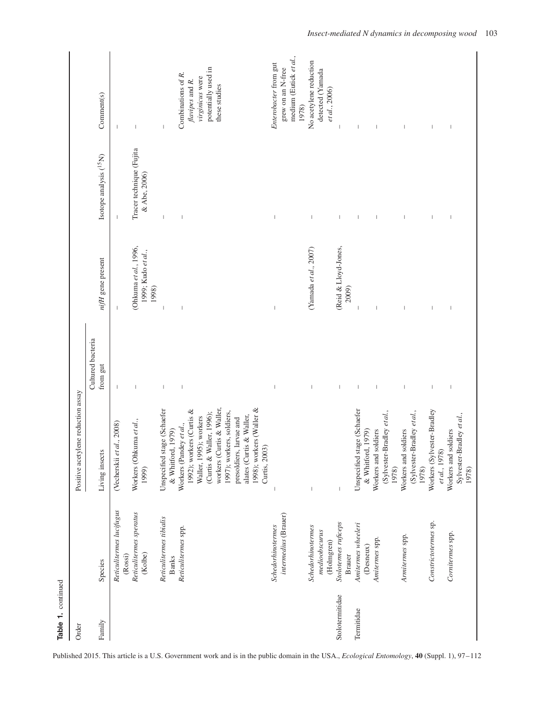| Table 1. continued |                                         |                                                                                   |                               |                                                      |                                          |                                                      |
|--------------------|-----------------------------------------|-----------------------------------------------------------------------------------|-------------------------------|------------------------------------------------------|------------------------------------------|------------------------------------------------------|
| Order              |                                         | Positive acetylene reduction assay                                                |                               |                                                      |                                          |                                                      |
| Family             | Species                                 | Living insects                                                                    | Cultured bacteria<br>from gut | $nif\!H$ gene present                                | Isotope analysis $(^{15}{\rm N})$        | Comment(s)                                           |
|                    | Reticulitermes lucifugus<br>(Rossi)     | (Vecherskii et al., 2008)                                                         |                               |                                                      |                                          |                                                      |
|                    | Reticulitermes speratus<br>(Kolbe)      | Workers (Ohkuma et al.,<br>1999)                                                  |                               | (Ohkuma et al., 1996,<br>1999; Kudo et al.,<br>1998) | Tracer technique (Fujita<br>& Abe, 2006) |                                                      |
|                    | Reticuliternes tibialis<br><b>Banks</b> | Unspecified stage (Schaefer<br>& Whitford, 1979)                                  | $\overline{\phantom{a}}$      | I                                                    | 1                                        | $\overline{1}$                                       |
|                    | Reticulitermes spp.                     | 1992); workers (Curtis &<br>Workers (Pandey et al.,                               |                               |                                                      |                                          | Combinations of R.<br>flavipes and R.                |
|                    |                                         | (Curtis & Waller, 1996);<br>Waller, 1995); workers                                |                               |                                                      |                                          | potentially used in<br>virginicus were               |
|                    |                                         | workers (Curtis & Waller,<br>1997); workers, soldiers,<br>presoldiers, larvae and |                               |                                                      |                                          | these studies                                        |
|                    |                                         | 1998); workers (Waller &<br>alates (Curtis & Waller,<br>Curtis, 2003)             |                               |                                                      |                                          |                                                      |
|                    | Schedorhinotermes                       | $\mathbb{I}$                                                                      | T                             | Ť                                                    | Ť                                        | Enterobacter from gut                                |
|                    | intermedius (Brauer)                    |                                                                                   |                               |                                                      |                                          | medium (Eutick et al.,<br>grew on an N-free<br>1978) |
|                    | Schedorhinotermes                       | $\,$ $\,$                                                                         |                               | (Yamada et al., 2007)                                | $\overline{\phantom{a}}$                 | No acetylene reduction                               |
|                    | medioobscurus<br>(Holmgren)             |                                                                                   |                               |                                                      |                                          | detected (Yamada<br>et al., 2006)                    |
| Stolotermitidae    | Stolotermes ruficeps<br>Brauer          | $\bar{\rm I}$                                                                     |                               | (Reid & Lloyd-Jones,<br>2009)                        | T                                        |                                                      |
| Termitidae         | Amitermes wheeleri                      | Unspecified stage (Schaefer                                                       |                               |                                                      |                                          |                                                      |
|                    | (Desneux)                               | & Whitford, 1979)                                                                 |                               |                                                      |                                          |                                                      |
|                    | Amitermes spp.                          | (Sylvester-Bradley et al.,<br>Workers and soldiers<br>1978)                       |                               | 1                                                    | $\overline{\phantom{a}}$                 | $\overline{\phantom{a}}$                             |
|                    | Armitermes spp.                         | (Sylvester-Bradley et al.,<br>Workers and soldiers<br>1978)                       |                               |                                                      |                                          | т                                                    |
|                    | Constrictotermes sp.                    | Workers (Sylvester-Bradley<br>$et al., 1978)$                                     | T                             | $\mathbf{I}$                                         | $\mathbf{I}$                             | T                                                    |
|                    | Cornitermes spp.                        | Sylvester-Bradley et al.,<br>Workers and soldiers<br>1978)                        |                               | $\overline{\phantom{a}}$                             | $\overline{\phantom{a}}$                 | $\mid$                                               |

*Insect-mediated N dynamics in decomposing wood* 103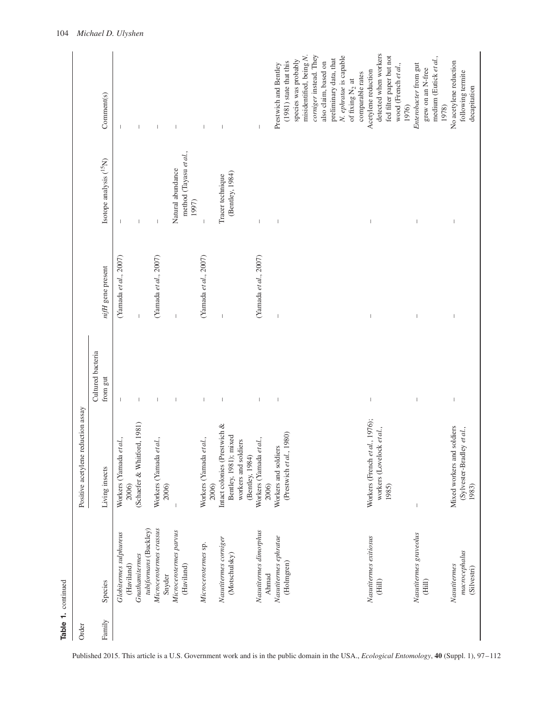| Table 1. continued |                                                                                   |                                                                                                  |                                       |                                |                                                      |                                                                                                                                   |
|--------------------|-----------------------------------------------------------------------------------|--------------------------------------------------------------------------------------------------|---------------------------------------|--------------------------------|------------------------------------------------------|-----------------------------------------------------------------------------------------------------------------------------------|
| Order              |                                                                                   | Positive acetylene reduction assay                                                               |                                       |                                |                                                      |                                                                                                                                   |
| Family             | Species                                                                           | Living insects                                                                                   | Cultured bacteria<br>from gut         | nifH gene present              | Isotope analysis $(^{15}{\rm N})$                    | Comment(s)                                                                                                                        |
|                    | tubiformans (Buckley)<br>Globitermes sulphureus<br>Gnathamitermes<br>(Haviland)   | (Schaefer & Whitford, 1981)<br>Workers (Yamada et al.,<br>2006)                                  |                                       | (Yamada et al., 2007)          |                                                      |                                                                                                                                   |
|                    | Microcerotermes crassus<br>Snyder                                                 | Workers (Yamada et al.,<br>2006)                                                                 |                                       | (Yamada et al., 2007)          | T                                                    |                                                                                                                                   |
|                    | Microcerotermes parvus<br>(Haviland)                                              | $\overline{\phantom{a}}$                                                                         |                                       | $\overline{\phantom{a}}$       | method (Tayasu et al.,<br>Natural abundance<br>1997) |                                                                                                                                   |
|                    | Microcerotermes sp.                                                               | Workers (Yamada et al.,<br>2006)                                                                 | $\overline{\phantom{a}}$              | (Yanada et al., 2007)          |                                                      |                                                                                                                                   |
|                    | Nasutitermes corniger<br>(Motschulsky)                                            | Intact colonies (Prestwich &<br>Bentley, 1981); mixed<br>workers and soldiers<br>(Bentley, 1984) |                                       |                                | (Bentley, 1984)<br>Tracer technique                  |                                                                                                                                   |
|                    | Nasutiternes dimorphus<br>Ahmad                                                   | Workers (Yamada et al.,<br>2006)                                                                 |                                       | (Yanada et al., 2007)          | I                                                    | I                                                                                                                                 |
|                    | Nasutitermes ephratae<br>(Holmgren)                                               | (Prestwich et al., 1980)<br>Workers and soldiers                                                 |                                       | $\begin{array}{c} \end{array}$ |                                                      | misidentified, being N.<br>species was probably<br>$(1981)$ state that this<br>Prestwich and Bentley                              |
|                    |                                                                                   |                                                                                                  |                                       |                                |                                                      | corniger instead. They<br>N. ephratae is capable<br>preliminary data, that<br>also claim, based on<br>of fixing $\mathrm{N}_2$ at |
|                    | Nasutitermes exitiosus<br>(Hill)                                                  | Workers (French et al., 1976);<br>workers (Lovelock et al.,<br>1985)                             | $\overline{1}$                        | $\overline{1}$                 | $\begin{array}{c} \end{array}$                       | detected when workers<br>fed filter paper but not<br>wood (French et al.,<br>Acetylene reduction<br>comparable rates              |
|                    | Nasutitermes graveolus<br>$\begin{array}{c} \text{(Hill)}\\ \text{ } \end{array}$ | $\begin{array}{c} \end{array}$                                                                   | $\overline{\phantom{a}}$              | $\overline{\phantom{a}}$       | $\overline{\phantom{a}}$                             | medium (Eutick et al.,<br>Enterobacter from gut<br>grew on an N-free<br>1976)                                                     |
|                    | macrocephalus<br>Nasutiternes<br>(Silvestri)                                      | Mixed workers and soldiers<br>(Sylvester-Bradley et al.,<br>1983)                                | $\begin{array}{c} \hline \end{array}$ | $\begin{array}{c} \end{array}$ | $\begin{array}{c} \end{array}$                       | No acetylene reduction<br>following termite<br>decapitation<br>1978)                                                              |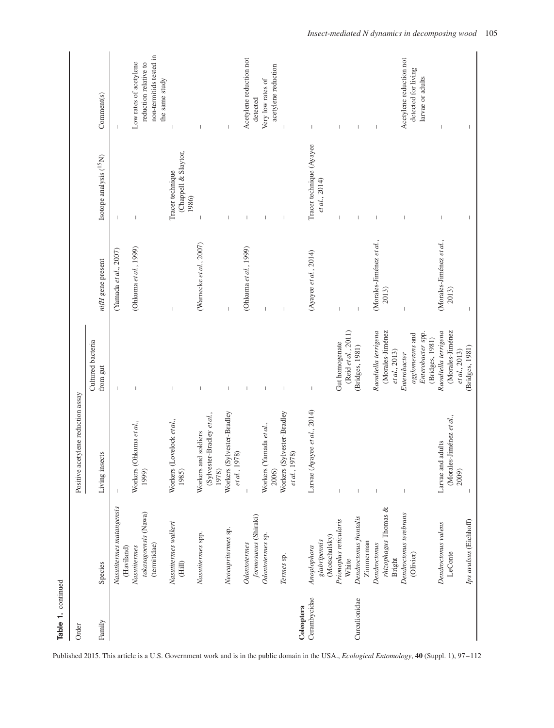| Table 1. continued |                                                      |                                                             |                                                                         |                                   |                                                   |                                                                                              |
|--------------------|------------------------------------------------------|-------------------------------------------------------------|-------------------------------------------------------------------------|-----------------------------------|---------------------------------------------------|----------------------------------------------------------------------------------------------|
| Order              |                                                      | Positive acetylene reduction assay                          |                                                                         |                                   |                                                   |                                                                                              |
| Family             | Species                                              | Living insects                                              | Cultured bacteria<br>from gut                                           | nifH gene present                 | Isotope analysis ( <sup>15</sup> N)               | Comment(s)                                                                                   |
|                    | Nasutitermes matangensis<br>(Haviland)               |                                                             | $\overline{\phantom{a}}$                                                | (Yanada et al., 2007)             |                                                   |                                                                                              |
|                    | takasagoensis (Nawa)<br>(termitidae)<br>Nasutiternes | Workers (Ohkuma et al.,<br>1999)                            |                                                                         | (Ohkuma et al., 1999)             |                                                   | non-termitids tested in<br>Low rates of acetylene<br>reduction relative to<br>the same study |
|                    | Nasutiternes walkeri<br>(Hill)                       | Workers (Lovelock et al.,<br>1985)                          |                                                                         |                                   | (Chappell & Slaytor,<br>Tracer technique<br>1986) |                                                                                              |
|                    | Nasutitermes spp.                                    | (Sylvester-Bradley et al.,<br>Workers and soldiers<br>1978) |                                                                         | (Warnecke et al., 2007)           | $\overline{\phantom{a}}$                          |                                                                                              |
|                    | Neocapritermes sp.                                   | Workers (Sylvester-Bradley<br>et al., 1978)                 |                                                                         |                                   |                                                   | $\overline{1}$                                                                               |
|                    | formosanus (Shiraki)<br>Odontoternes                 |                                                             |                                                                         | (Ohkuma et al., 1999)             |                                                   | Acetylene reduction not<br>detected                                                          |
|                    | Odontotermes sp.                                     | Workers (Yamada et al.,<br>2006)                            |                                                                         |                                   |                                                   | acetylene reduction<br>Very low rates of                                                     |
|                    | Termes sp.                                           | Workers (Sylvester-Bradley<br>$et al.,\, 1978)$             |                                                                         |                                   |                                                   |                                                                                              |
| Coleoptera         |                                                      |                                                             |                                                                         |                                   |                                                   |                                                                                              |
| Cerambycidae       | (Motschulsky)<br>glabripennis<br>Anoplophora         | Larvae (Ayayee et al., 2014)                                | $\overline{\phantom{a}}$                                                | (Ayayee et al., 2014)             | Tracer technique (Ayayee<br>$et al., 2014)$       | $\overline{\phantom{a}}$                                                                     |
|                    | Prionoplus reticularis<br>White                      |                                                             | (Reid et al., 2011)<br>Gut homogenate                                   |                                   |                                                   |                                                                                              |
| Curculionidae      | Dendroctonus frontalis<br>Zimmerman                  | $\overline{\phantom{a}}$                                    | (Bridges, 1981)                                                         |                                   |                                                   | $\overline{\phantom{a}}$                                                                     |
|                    | rhizophagus Thomas &<br>Dendroctonus<br>Bright       |                                                             | (Morales-Jiménez<br>Raoultella terrigena<br>et al., 2013)               | (Morales-Jiménez et al.,<br>2013) |                                                   |                                                                                              |
|                    | Dendroctonus terebrans<br>(Olivier)                  | $\begin{array}{c} \hline \end{array}$                       | Enterobacter spp.<br>agglomerans and<br>(Bridges, 1981)<br>Enterobacter |                                   |                                                   | Acetylene reduction not<br>detected for living<br>larvae or adults                           |
|                    | Dendroctonus valens<br>LeConte                       | (Morales-Jiménez et al.,<br>Larvae and adults<br>2009)      | (Morales-Jiménez<br>Raoultella terrigena<br>et al., 2013)               | (Morales-Jiménez et al.,<br>2013) |                                                   |                                                                                              |
|                    | Ips avulsus (Eichhoff)                               |                                                             | (Bridges, 1981)                                                         |                                   |                                                   |                                                                                              |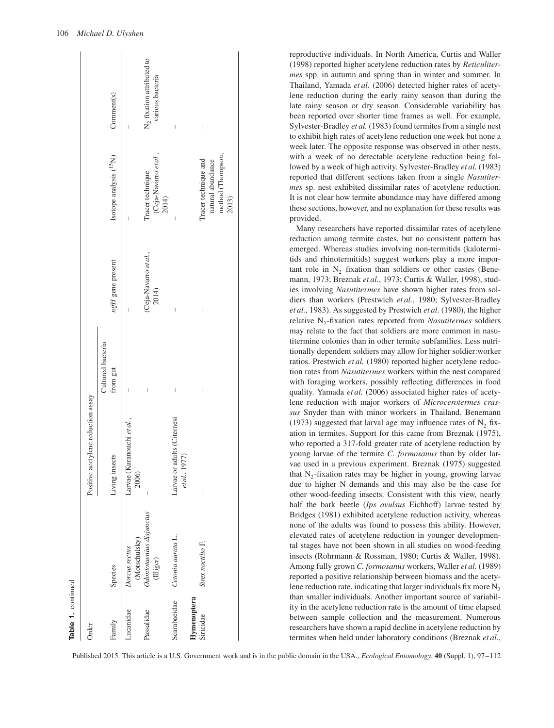| Table 1. continued       |                                       |                                             |                               |                               |                                                                         |                                                           |
|--------------------------|---------------------------------------|---------------------------------------------|-------------------------------|-------------------------------|-------------------------------------------------------------------------|-----------------------------------------------------------|
| <b>Order</b>             |                                       | Positive acetylene reduction assay          |                               |                               |                                                                         |                                                           |
| Family                   | Species                               | Living insects                              | Cultured bacteria<br>from gut | nifH gene present             | Isotope analysis ( <sup>15</sup> N)                                     | Comment(s)                                                |
| Lucanidae                | (Motschulsky)<br>Dorcus rectus        | Larvae (Kuranouchi et al.,<br>2006)         | I                             |                               |                                                                         |                                                           |
| Passalidae               | Odontotaenius disjunctus<br>(Illiger) | I                                           |                               | (Ceja-Navarro et al.,<br>2014 | (Ceja-Navarro et al.,<br>Tracer technique<br>2014)                      | $\mathrm{N}_2$ fixation attributed to<br>various bacteria |
| Scarabaeidae             | Cetonia aurata L.                     | Larvae or adults (Citernesi<br>etal., 1977) | $\overline{\phantom{a}}$      | I                             | I                                                                       | I                                                         |
| Hymenoptera<br>Siricidae | Sirex noctilio F.                     | I                                           | J                             | I                             | method (Thompson,<br>Tracer technique and<br>natural abundance<br>2013) | I                                                         |
|                          |                                       |                                             |                               |                               |                                                                         |                                                           |

reproductive individuals. In North America, Curtis and Waller (1998) reported higher acetylene reduction rates by *Reticulitermes* spp. in autumn and spring than in winter and summer. In Thailand, Yamada *et al.* (2006) detected higher rates of acetylene reduction during the early rainy season than during the late rainy season or dry season. Considerable variability has been reported over shorter time frames as well. For example, Sylvester-Bradley *et al.* (1983) found termites from a single nest to exhibit high rates of acetylene reduction one week but none a week later. The opposite response was observed in other nests, with a week of no detectable acetylene reduction being followed by a week of high activity. Sylvester-Bradley *et al.* (1983) reported that different sections taken from a single *Nasutitermes* sp. nest exhibited dissimilar rates of acetylene reduction. It is not clear how termite abundance may have differed among these sections, however, and no explanation for these results was provided.

Many researchers have reported dissimilar rates of acetylene reduction among termite castes, but no consistent pattern has emerged. Whereas studies involving non-termitids (kalotermitids and rhinotermitids) suggest workers play a more important role in  $N<sub>2</sub>$  fixation than soldiers or other castes (Benemann, 1973; Breznak *et al.*, 1973; Curtis & Waller, 1998), studies involving *Nasutitermes* have shown higher rates from soldiers than workers (Prestwich *et al.*, 1980; Sylvester-Bradley *et al.*, 1983). As suggested by Prestwich *et al.* (1980), the higher relative N<sub>2</sub>-fixation rates reported from *Nasutitermes* soldiers may relate to the fact that soldiers are more common in nasutitermine colonies than in other termite subfamilies. Less nutritionally dependent soldiers may allow for higher soldier:worker ratios. Prestwich *et al.* (1980) reported higher acetylene reduction rates from *Nasutitermes* workers within the nest compared with foraging workers, possibly reflecting differences in food quality. Yamada *et al.* (2006) associated higher rates of acetylene reduction with major workers of *Microcerotermes crassus* Snyder than with minor workers in Thailand. Benemann (1973) suggested that larval age may influence rates of  $N_2$  fixation in termites. Support for this came from Breznak (1975), who reported a 317-fold greater rate of acetylene reduction by young larvae of the termite *C. formosanus* than by older larvae used in a previous experiment. Breznak (1975) suggested that  $N_2$ -fixation rates may be higher in young, growing larvae due to higher N demands and this may also be the case for other wood-feeding insects. Consistent with this view, nearly half the bark beetle (*Ips avulsus* Eichhoff) larvae tested by Bridges (1981) exhibited acetylene reduction activity, whereas none of the adults was found to possess this ability. However, elevated rates of acetylene reduction in younger developmental stages have not been shown in all studies on wood-feeding insects (Rohrmann & Rossman, 1980; Curtis & Waller, 1998). Among fully grown *C. formosanus* workers, Waller *et al.* (1989) reported a positive relationship between biomass and the acetylene reduction rate, indicating that larger individuals fix more  $N<sub>2</sub>$ than smaller individuals. Another important source of variability in the acetylene reduction rate is the amount of time elapsed between sample collection and the measurement. Numerous researchers have shown a rapid decline in acetylene reduction by termites when held under laboratory conditions (Breznak *et al.*,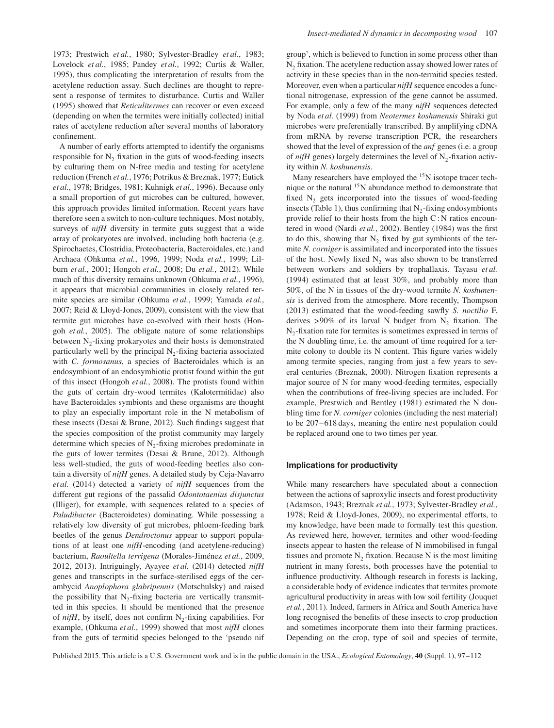1973; Prestwich *et al.*, 1980; Sylvester-Bradley *et al.*, 1983; Lovelock *et al.*, 1985; Pandey *et al.*, 1992; Curtis & Waller, 1995), thus complicating the interpretation of results from the acetylene reduction assay. Such declines are thought to represent a response of termites to disturbance. Curtis and Waller (1995) showed that *Reticulitermes* can recover or even exceed (depending on when the termites were initially collected) initial rates of acetylene reduction after several months of laboratory confinement.

A number of early efforts attempted to identify the organisms responsible for  $N<sub>2</sub>$  fixation in the guts of wood-feeding insects by culturing them on N-free media and testing for acetylene reduction (French *et al.*, 1976; Potrikus & Breznak, 1977; Eutick *et al.*, 1978; Bridges, 1981; Kuhnigk *et al.*, 1996). Because only a small proportion of gut microbes can be cultured, however, this approach provides limited information. Recent years have therefore seen a switch to non-culture techniques. Most notably, surveys of *nifH* diversity in termite guts suggest that a wide array of prokaryotes are involved, including both bacteria (e.g. Spirochaetes, Clostridia, Proteobacteria, Bacteroidales, etc.) and Archaea (Ohkuma *et al.*, 1996, 1999; Noda *et al.*, 1999; Lilburn *et al.*, 2001; Hongoh *et al.*, 2008; Du *et al.*, 2012). While much of this diversity remains unknown (Ohkuma *et al.*, 1996), it appears that microbial communities in closely related termite species are similar (Ohkuma *et al.*, 1999; Yamada *et al.*, 2007; Reid & Lloyd-Jones, 2009), consistent with the view that termite gut microbes have co-evolved with their hosts (Hongoh *et al.*, 2005). The obligate nature of some relationships between  $N_2$ -fixing prokaryotes and their hosts is demonstrated particularly well by the principal  $N<sub>2</sub>$ -fixing bacteria associated with *C. formosanus*, a species of Bacteroidales which is an endosymbiont of an endosymbiotic protist found within the gut of this insect (Hongoh *et al.*, 2008). The protists found within the guts of certain dry-wood termites (Kalotermitidae) also have Bacteroidales symbionts and these organisms are thought to play an especially important role in the N metabolism of these insects (Desai & Brune, 2012). Such findings suggest that the species composition of the protist community may largely determine which species of  $N<sub>2</sub>$ -fixing microbes predominate in the guts of lower termites (Desai & Brune, 2012). Although less well-studied, the guts of wood-feeding beetles also contain a diversity of *nifH* genes. A detailed study by Ceja-Navarro *et al.* (2014) detected a variety of *nifH* sequences from the different gut regions of the passalid *Odontotaenius disjunctus* (Illiger), for example, with sequences related to a species of *Paludibacter* (Bacteroidetes) dominating. While possessing a relatively low diversity of gut microbes, phloem-feeding bark beetles of the genus *Dendroctonus* appear to support populations of at least one *nifH*-encoding (and acetylene-reducing) bacterium, *Raoultella terrigena* (Morales-Jiménez *et al.*, 2009, 2012, 2013). Intriguingly, Ayayee *et al.* (2014) detected *nifH* genes and transcripts in the surface-sterilised eggs of the cerambycid *Anoplophora glabripennis* (Motschulsky) and raised the possibility that  $N_2$ -fixing bacteria are vertically transmitted in this species. It should be mentioned that the presence of  $ni\pi H$ , by itself, does not confirm N<sub>2</sub>-fixing capabilities. For example, (Ohkuma *et al.*, 1999) showed that most *nifH* clones from the guts of termitid species belonged to the 'pseudo nif group', which is believed to function in some process other than N<sub>2</sub> fixation. The acetylene reduction assay showed lower rates of activity in these species than in the non-termitid species tested. Moreover, even when a particular *nifH* sequence encodes a functional nitrogenase, expression of the gene cannot be assumed. For example, only a few of the many *nifH* sequences detected by Noda *et al.* (1999) from *Neotermes koshunensis* Shiraki gut microbes were preferentially transcribed. By amplifying cDNA from mRNA by reverse transcription PCR, the researchers showed that the level of expression of the *anf* genes (i.e. a group of  $ni\pi H$  genes) largely determines the level of  $N_2$ -fixation activity within *N. koshunensis*.

Many researchers have employed the <sup>15</sup>N isotope tracer technique or the natural 15N abundance method to demonstrate that fixed  $N<sub>2</sub>$  gets incorporated into the tissues of wood-feeding insects (Table 1), thus confirming that  $N<sub>2</sub>$ -fixing endosymbionts provide relief to their hosts from the high C : N ratios encountered in wood (Nardi *et al.*, 2002). Bentley (1984) was the first to do this, showing that  $N<sub>2</sub>$  fixed by gut symbionts of the termite *N. corniger* is assimilated and incorporated into the tissues of the host. Newly fixed  $N<sub>2</sub>$  was also shown to be transferred between workers and soldiers by trophallaxis. Tayasu *et al.* (1994) estimated that at least 30%, and probably more than 50%, of the N in tissues of the dry-wood termite *N. koshunensis* is derived from the atmosphere. More recently, Thompson (2013) estimated that the wood-feeding sawfly *S. noctilio* F. derives  $>90\%$  of its larval N budget from N<sub>2</sub> fixation. The  $N<sub>2</sub>$ -fixation rate for termites is sometimes expressed in terms of the N doubling time, i.e. the amount of time required for a termite colony to double its N content. This figure varies widely among termite species, ranging from just a few years to several centuries (Breznak, 2000). Nitrogen fixation represents a major source of N for many wood-feeding termites, especially when the contributions of free-living species are included. For example, Prestwich and Bentley (1981) estimated the N doubling time for *N. corniger* colonies (including the nest material) to be 207–618 days, meaning the entire nest population could be replaced around one to two times per year.

# **Implications for productivity**

While many researchers have speculated about a connection between the actions of saproxylic insects and forest productivity (Adamson, 1943; Breznak *et al.*, 1973; Sylvester-Bradley *et al.*, 1978; Reid & Lloyd-Jones, 2009), no experimental efforts, to my knowledge, have been made to formally test this question. As reviewed here, however, termites and other wood-feeding insects appear to hasten the release of N immobilised in fungal tissues and promote  $N<sub>2</sub>$  fixation. Because N is the most limiting nutrient in many forests, both processes have the potential to influence productivity. Although research in forests is lacking, a considerable body of evidence indicates that termites promote agricultural productivity in areas with low soil fertility (Jouquet *et al.*, 2011). Indeed, farmers in Africa and South America have long recognised the benefits of these insects to crop production and sometimes incorporate them into their farming practices. Depending on the crop, type of soil and species of termite,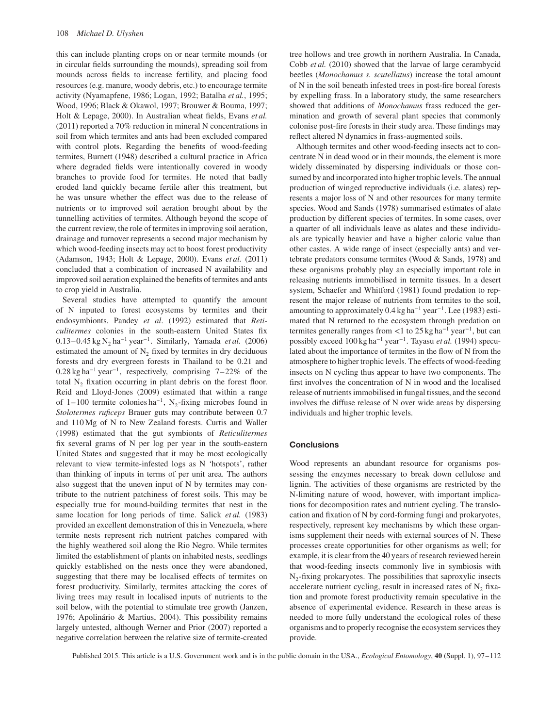this can include planting crops on or near termite mounds (or in circular fields surrounding the mounds), spreading soil from mounds across fields to increase fertility, and placing food resources (e.g. manure, woody debris, etc.) to encourage termite activity (Nyamapfene, 1986; Logan, 1992; Batalha *et al.*, 1995; Wood, 1996; Black & Okawol, 1997; Brouwer & Bouma, 1997; Holt & Lepage, 2000). In Australian wheat fields, Evans *et al.* (2011) reported a 70% reduction in mineral N concentrations in soil from which termites and ants had been excluded compared with control plots. Regarding the benefits of wood-feeding termites, Burnett (1948) described a cultural practice in Africa where degraded fields were intentionally covered in woody branches to provide food for termites. He noted that badly eroded land quickly became fertile after this treatment, but he was unsure whether the effect was due to the release of nutrients or to improved soil aeration brought about by the tunnelling activities of termites. Although beyond the scope of the current review, the role of termites in improving soil aeration, drainage and turnover represents a second major mechanism by which wood-feeding insects may act to boost forest productivity (Adamson, 1943; Holt & Lepage, 2000). Evans *et al.* (2011) concluded that a combination of increased N availability and improved soil aeration explained the benefits of termites and ants to crop yield in Australia.

Several studies have attempted to quantify the amount of N inputed to forest ecosystems by termites and their endosymbionts. Pandey *et al*. (1992) estimated that *Reticulitermes* colonies in the south-eastern United States fix 0.13–0.45 kg N2 ha<sup>−</sup><sup>1</sup> year<sup>−</sup>1. Similarly, Yamada *et al.* (2006) estimated the amount of  $N<sub>2</sub>$  fixed by termites in dry deciduous forests and dry evergreen forests in Thailand to be 0.21 and 0.28 kg ha<sup>−</sup><sup>1</sup> year<sup>−</sup>1, respectively, comprising 7–22% of the total  $N_2$  fixation occurring in plant debris on the forest floor. Reid and Lloyd-Jones (2009) estimated that within a range of  $1-100$  termite colonies ha<sup>-1</sup>, N<sub>2</sub>-fixing microbes found in *Stolotermes ruficeps* Brauer guts may contribute between 0.7 and 110 Mg of N to New Zealand forests. Curtis and Waller (1998) estimated that the gut symbionts of *Reticulitermes* fix several grams of N per log per year in the south-eastern United States and suggested that it may be most ecologically relevant to view termite-infested logs as N 'hotspots', rather than thinking of inputs in terms of per unit area. The authors also suggest that the uneven input of N by termites may contribute to the nutrient patchiness of forest soils. This may be especially true for mound-building termites that nest in the same location for long periods of time. Salick *et al.* (1983) provided an excellent demonstration of this in Venezuela, where termite nests represent rich nutrient patches compared with the highly weathered soil along the Rio Negro. While termites limited the establishment of plants on inhabited nests, seedlings quickly established on the nests once they were abandoned, suggesting that there may be localised effects of termites on forest productivity. Similarly, termites attacking the cores of living trees may result in localised inputs of nutrients to the soil below, with the potential to stimulate tree growth (Janzen, 1976; Apolinário & Martius, 2004). This possibility remains largely untested, although Werner and Prior (2007) reported a negative correlation between the relative size of termite-created

tree hollows and tree growth in northern Australia. In Canada, Cobb *et al.* (2010) showed that the larvae of large cerambycid beetles (*Monochamus s. scutellatus*) increase the total amount of N in the soil beneath infested trees in post-fire boreal forests by expelling frass. In a laboratory study, the same researchers showed that additions of *Monochamus* frass reduced the germination and growth of several plant species that commonly colonise post-fire forests in their study area. These findings may reflect altered N dynamics in frass-augmented soils.

Although termites and other wood-feeding insects act to concentrate N in dead wood or in their mounds, the element is more widely disseminated by dispersing individuals or those consumed by and incorporated into higher trophic levels. The annual production of winged reproductive individuals (i.e. alates) represents a major loss of N and other resources for many termite species. Wood and Sands (1978) summarised estimates of alate production by different species of termites. In some cases, over a quarter of all individuals leave as alates and these individuals are typically heavier and have a higher caloric value than other castes. A wide range of insect (especially ants) and vertebrate predators consume termites (Wood & Sands, 1978) and these organisms probably play an especially important role in releasing nutrients immobilised in termite tissues. In a desert system, Schaefer and Whitford (1981) found predation to represent the major release of nutrients from termites to the soil, amounting to approximately 0.4 kg ha<sup>−</sup><sup>1</sup> year<sup>−</sup>1. Lee (1983) estimated that N returned to the ecosystem through predation on termites generally ranges from *<*1 to 25 kg ha<sup>−</sup><sup>1</sup> year<sup>−</sup>1, but can possibly exceed 100 kg ha<sup>−</sup><sup>1</sup> year<sup>−</sup>1. Tayasu *et al.* (1994) speculated about the importance of termites in the flow of N from the atmosphere to higher trophic levels. The effects of wood-feeding insects on N cycling thus appear to have two components. The first involves the concentration of N in wood and the localised release of nutrients immobilised in fungal tissues, and the second involves the diffuse release of N over wide areas by dispersing individuals and higher trophic levels.

# **Conclusions**

Wood represents an abundant resource for organisms possessing the enzymes necessary to break down cellulose and lignin. The activities of these organisms are restricted by the N-limiting nature of wood, however, with important implications for decomposition rates and nutrient cycling. The translocation and fixation of N by cord-forming fungi and prokaryotes, respectively, represent key mechanisms by which these organisms supplement their needs with external sources of N. These processes create opportunities for other organisms as well; for example, it is clear from the 40 years of research reviewed herein that wood-feeding insects commonly live in symbiosis with  $N<sub>2</sub>$ -fixing prokaryotes. The possibilities that saproxylic insects accelerate nutrient cycling, result in increased rates of  $N<sub>2</sub>$  fixation and promote forest productivity remain speculative in the absence of experimental evidence. Research in these areas is needed to more fully understand the ecological roles of these organisms and to properly recognise the ecosystem services they provide.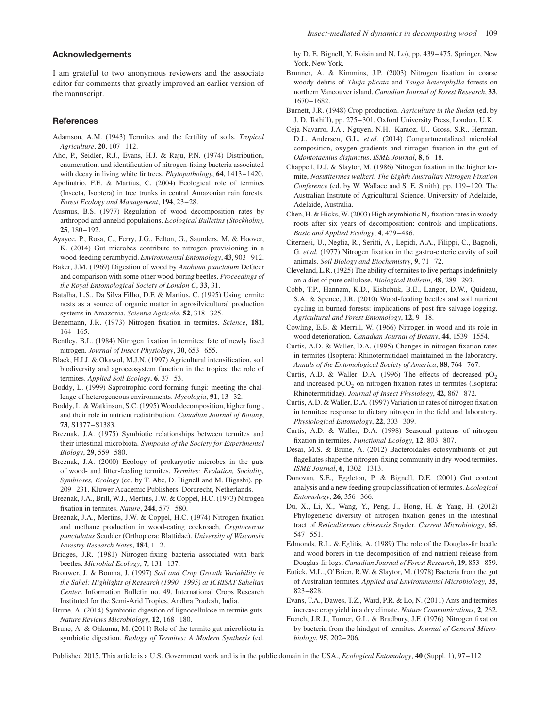# **Acknowledgements**

I am grateful to two anonymous reviewers and the associate editor for comments that greatly improved an earlier version of the manuscript.

# **References**

- Adamson, A.M. (1943) Termites and the fertility of soils. *Tropical Agriculture*, **20**, 107–112.
- Aho, P., Seidler, R.J., Evans, H.J. & Raju, P.N. (1974) Distribution, enumeration, and identification of nitrogen-fixing bacteria associated with decay in living white fir trees. *Phytopathology*, **64**, 1413–1420.
- Apolinário, F.E. & Martius, C. (2004) Ecological role of termites (Insecta, Isoptera) in tree trunks in central Amazonian rain forests. *Forest Ecology and Management*, **194**, 23–28.
- Ausmus, B.S. (1977) Regulation of wood decomposition rates by arthropod and annelid populations. *Ecological Bulletins (Stockholm)*, **25**, 180–192.
- Ayayee, P., Rosa, C., Ferry, J.G., Felton, G., Saunders, M. & Hoover, K. (2014) Gut microbes contribute to nitrogen provisioning in a wood-feeding cerambycid. *Environmental Entomology*, **43**, 903–912.
- Baker, J.M. (1969) Digestion of wood by *Anobium punctatum* DeGeer and comparison with some other wood boring beetles. *Proceedings of the Royal Entomological Society of London C*, **33**, 31.
- Batalha, L.S., Da Silva Filho, D.F. & Martius, C. (1995) Using termite nests as a source of organic matter in agrosilvicultural production systems in Amazonia. *Scientia Agricola*, **52**, 318–325.
- Benemann, J.R. (1973) Nitrogen fixation in termites. *Science*, **181**, 164–165.
- Bentley, B.L. (1984) Nitrogen fixation in termites: fate of newly fixed nitrogen. *Journal of Insect Physiology*, **30**, 653–655.
- Black, H.I.J. & Okawol, M.J.N. (1997) Agricultural intensification, soil biodiversity and agroecosystem function in the tropics: the role of termites. *Applied Soil Ecology*, **6**, 37–53.
- Boddy, L. (1999) Saprotrophic cord-forming fungi: meeting the challenge of heterogeneous environments. *Mycologia*, **91**, 13–32.
- Boddy, L. & Watkinson, S.C. (1995) Wood decomposition, higher fungi, and their role in nutrient redistribution. *Canadian Journal of Botany*, **73**, S1377–S1383.
- Breznak, J.A. (1975) Symbiotic relationships between termites and their intestinal microbiota. *Symposia of the Society for Experimental Biology*, **29**, 559–580.
- Breznak, J.A. (2000) Ecology of prokaryotic microbes in the guts of wood- and litter-feeding termites. *Termites: Evolution, Sociality, Symbioses, Ecology* (ed. by T. Abe, D. Bignell and M. Higashi), pp. 209–231. Kluwer Academic Publishers, Dordrecht, Netherlands.
- Breznak, J.A., Brill, W.J., Mertins, J.W. & Coppel, H.C. (1973) Nitrogen fixation in termites. *Nature*, **244**, 577–580.
- Breznak, J.A., Mertins, J.W. & Coppel, H.C. (1974) Nitrogen fixation and methane production in wood-eating cockroach, *Cryptocercus punctulatus* Scudder (Orthoptera: Blattidae). *University of Wisconsin Forestry Research Notes*, **184**, 1–2.
- Bridges, J.R. (1981) Nitrogen-fixing bacteria associated with bark beetles. *Microbial Ecology*, **7**, 131–137.
- Brouwer, J. & Bouma, J. (1997) *Soil and Crop Growth Variability in the Sahel: Highlights of Research (1990–1995) at ICRISAT Sahelian Center*. Information Bulletin no. 49. International Crops Research Instituted for the Semi-Arid Tropics, Andhra Pradesh, India.
- Brune, A. (2014) Symbiotic digestion of lignocellulose in termite guts. *Nature Reviews Microbiology*, **12**, 168–180.
- Brune, A. & Ohkuma, M. (2011) Role of the termite gut microbiota in symbiotic digestion. *Biology of Termites: A Modern Synthesis* (ed.

by D. E. Bignell, Y. Roisin and N. Lo), pp. 439–475. Springer, New York, New York.

- Brunner, A. & Kimmins, J.P. (2003) Nitrogen fixation in coarse woody debris of *Thuja plicata* and *Tsuga heterophylla* forests on northern Vancouver island. *Canadian Journal of Forest Research*, **33**, 1670–1682.
- Burnett, J.R. (1948) Crop production. *Agriculture in the Sudan* (ed. by J. D. Tothill), pp. 275–301. Oxford University Press, London, U.K.
- Ceja-Navarro, J.A., Nguyen, N.H., Karaoz, U., Gross, S.R., Herman, D.J., Andersen, G.L. *et al.* (2014) Compartmentalized microbial composition, oxygen gradients and nitrogen fixation in the gut of *Odontotaenius disjunctus*. *ISME Journal*, **8**, 6–18.
- Chappell, D.J. & Slaytor, M. (1986) Nitrogen fixation in the higher termite, *Nasutitermes walkeri*. *The Eighth Australian Nitrogen Fixation Conference* (ed. by W. Wallace and S. E. Smith), pp. 119–120. The Australian Institute of Agricultural Science, University of Adelaide, Adelaide, Australia.
- Chen, H. & Hicks, W. (2003) High asymbiotic  $N_2$  fixation rates in woody roots after six years of decomposition: controls and implications. *Basic and Applied Ecology*, **4**, 479–486.
- Citernesi, U., Neglia, R., Seritti, A., Lepidi, A.A., Filippi, C., Bagnoli, G. *et al.* (1977) Nitrogen fixation in the gastro-enteric cavity of soil animals. *Soil Biology and Biochemistry*, **9**, 71–72.
- Cleveland, L.R. (1925) The ability of termites to live perhaps indefinitely on a diet of pure cellulose. *Biological Bulletin*, **48**, 289–293.
- Cobb, T.P., Hannam, K.D., Kishchuk, B.E., Langor, D.W., Quideau, S.A. & Spence, J.R. (2010) Wood-feeding beetles and soil nutrient cycling in burned forests: implications of post-fire salvage logging. *Agricultural and Forest Entomology*, **12**, 9–18.
- Cowling, E.B. & Merrill, W. (1966) Nitrogen in wood and its role in wood deterioration. *Canadian Journal of Botany*, **44**, 1539–1554.
- Curtis, A.D. & Waller, D.A. (1995) Changes in nitrogen fixation rates in termites (Isoptera: Rhinotermitidae) maintained in the laboratory. *Annals of the Entomological Society of America*, **88**, 764–767.
- Curtis, A.D. & Waller, D.A. (1996) The effects of decreased  $pO<sub>2</sub>$ and increased  $pCO<sub>2</sub>$  on nitrogen fixation rates in termites (Isoptera: Rhinotermitidae). *Journal of Insect Physiology*, **42**, 867–872.
- Curtis, A.D. & Waller, D.A. (1997) Variation in rates of nitrogen fixation in termites: response to dietary nitrogen in the field and laboratory. *Physiological Entomology*, **22**, 303–309.
- Curtis, A.D. & Waller, D.A. (1998) Seasonal patterns of nitrogen fixation in termites. *Functional Ecology*, **12**, 803–807.
- Desai, M.S. & Brune, A. (2012) Bacteroidales ectosymbionts of gut flagellates shape the nitrogen-fixing community in dry-wood termites. *ISME Journal*, **6**, 1302–1313.
- Donovan, S.E., Eggleton, P. & Bignell, D.E. (2001) Gut content analysis and a new feeding group classification of termites. *Ecological Entomology*, **26**, 356–366.
- Du, X., Li, X., Wang, Y., Peng, J., Hong, H. & Yang, H. (2012) Phylogenetic diversity of nitrogen fixation genes in the intestinal tract of *Reticulitermes chinensis* Snyder. *Current Microbiology*, **65**, 547–551.
- Edmonds, R.L. & Eglitis, A. (1989) The role of the Douglas-fir beetle and wood borers in the decomposition of and nutrient release from Douglas-fir logs. *Canadian Journal of Forest Research*, **19**, 853–859.
- Eutick, M.L., O'Brien, R.W. & Slaytor, M. (1978) Bacteria from the gut of Australian termites. *Applied and Environmental Microbiology*, **35**, 823–828.
- Evans, T.A., Dawes, T.Z., Ward, P.R. & Lo, N. (2011) Ants and termites increase crop yield in a dry climate. *Nature Communications*, **2**, 262.
- French, J.R.J., Turner, G.L. & Bradbury, J.F. (1976) Nitrogen fixation by bacteria from the hindgut of termites. *Journal of General Microbiology*, **95**, 202–206.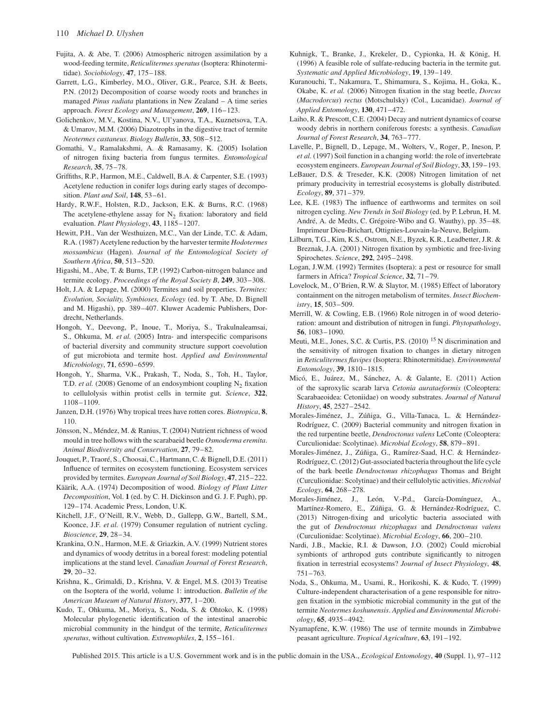- Fujita, A. & Abe, T. (2006) Atmospheric nitrogen assimilation by a wood-feeding termite, *Reticulitermes speratus* (Isoptera: Rhinotermitidae). *Sociobiology*, **47**, 175–188.
- Garrett, L.G., Kimberley, M.O., Oliver, G.R., Pearce, S.H. & Beets, P.N. (2012) Decomposition of coarse woody roots and branches in managed *Pinus radiata* plantations in New Zealand – A time series approach. *Forest Ecology and Management*, **269**, 116–123.
- Golichenkov, M.V., Kostina, N.V., Ul'yanova, T.A., Kuznetsova, T.A. & Umarov, M.M. (2006) Diazotrophs in the digestive tract of termite *Neotermes castaneus*. *Biology Bulletin*, **33**, 508–512.
- Gomathi, V., Ramalakshmi, A. & Ramasamy, K. (2005) Isolation of nitrogen fixing bacteria from fungus termites. *Entomological Research*, **35**, 75–78.
- Griffiths, R.P., Harmon, M.E., Caldwell, B.A. & Carpenter, S.E. (1993) Acetylene reduction in conifer logs during early stages of decomposition. *Plant and Soil*, **148**, 53–61.
- Hardy, R.W.F., Holsten, R.D., Jackson, E.K. & Burns, R.C. (1968) The acetylene-ethylene assay for  $N_2$  fixation: laboratory and field evaluation. *Plant Physiology*, **43**, 1185–1207.
- Hewitt, P.H., Van der Westhuizen, M.C., Van der Linde, T.C. & Adam, R.A. (1987) Acetylene reduction by the harvester termite *Hodotermes mossambicus* (Hagen). *Journal of the Entomological Society of Southern Africa*, **50**, 513–520.
- Higashi, M., Abe, T. & Burns, T.P. (1992) Carbon-nitrogen balance and termite ecology. *Proceedings of the Royal Society B*, **249**, 303–308.
- Holt, J.A. & Lepage, M. (2000) Termites and soil properties. *Termites: Evolution, Sociality, Symbioses, Ecology* (ed. by T. Abe, D. Bignell and M. Higashi), pp. 389–407. Kluwer Academic Publishers, Dordrecht, Netherlands.
- Hongoh, Y., Deevong, P., Inoue, T., Moriya, S., Trakulnaleamsai, S., Ohkuma, M. *et al.* (2005) Intra- and interspecific comparisons of bacterial diversity and community structure support coevolution of gut microbiota and termite host. *Applied and Environmental Microbiology*, **71**, 6590–6599.
- Hongoh, Y., Sharma, V.K., Prakash, T., Noda, S., Toh, H., Taylor, T.D. *et al.* (2008) Genome of an endosymbiont coupling  $N_2$  fixation to cellulolysis within protist cells in termite gut. *Science*, **322**, 1108–1109.
- Janzen, D.H. (1976) Why tropical trees have rotten cores. *Biotropica*, **8**, 110.
- Jönsson, N., Méndez, M. & Ranius, T. (2004) Nutrient richness of wood mould in tree hollows with the scarabaeid beetle *Osmoderma eremita*. *Animal Biodiversity and Conservation*, **27**, 79–82.
- Jouquet, P., Traoré, S., Choosai, C., Hartmann, C. & Bignell, D.E. (2011) Influence of termites on ecosystem functioning. Ecosystem services provided by termites. *European Journal of Soil Biology*, **47**, 215–222.
- Käärik, A.A. (1974) Decomposition of wood. *Biology of Plant Litter Decomposition*, Vol. **1** (ed. by C. H. Dickinson and G. J. F. Pugh), pp. 129–174. Academic Press, London, U.K.
- Kitchell, J.F., O'Neill, R.V., Webb, D., Gallepp, G.W., Bartell, S.M., Koonce, J.F. *et al.* (1979) Consumer regulation of nutrient cycling. *Bioscience*, **29**, 28–34.
- Krankina, O.N., Harmon, M.E. & Griazkin, A.V. (1999) Nutrient stores and dynamics of woody detritus in a boreal forest: modeling potential implications at the stand level. *Canadian Journal of Forest Research*, **29**, 20–32.
- Krishna, K., Grimaldi, D., Krishna, V. & Engel, M.S. (2013) Treatise on the Isoptera of the world, volume 1: introduction. *Bulletin of the American Museum of Natural History*, **377**, 1–200.
- Kudo, T., Ohkuma, M., Moriya, S., Noda, S. & Ohtoko, K. (1998) Molecular phylogenetic identification of the intestinal anaerobic microbial community in the hindgut of the termite, *Reticulitermes speratus*, without cultivation. *Extremophiles*, **2**, 155–161.
- Kuhnigk, T., Branke, J., Krekeler, D., Cypionka, H. & König, H. (1996) A feasible role of sulfate-reducing bacteria in the termite gut. *Systematic and Applied Microbiology*, **19**, 139–149.
- Kuranouchi, T., Nakamura, T., Shimamura, S., Kojima, H., Goka, K., Okabe, K. *et al.* (2006) Nitrogen fixation in the stag beetle, *Dorcus* (*Macrodorcus*) *rectus* (Motschulsky) (Col., Lucanidae). *Journal of Applied Entomology*, **130**, 471–472.
- Laiho, R. & Prescott, C.E. (2004) Decay and nutrient dynamics of coarse woody debris in northern coniferous forests: a synthesis. *Canadian Journal of Forest Research*, **34**, 763–777.
- Lavelle, P., Bignell, D., Lepage, M., Wolters, V., Roger, P., Ineson, P. *et al.* (1997) Soil function in a changing world: the role of invertebrate ecosystem engineers. *European Journal of Soil Biology*, **33**, 159–193.
- LeBauer, D.S. & Treseder, K.K. (2008) Nitrogen limitation of net primary producivity in terrestrial ecosystems is globally distributed. *Ecology*, **89**, 371–379.
- Lee, K.E. (1983) The influence of earthworms and termites on soil nitrogen cycling. *New Trends in Soil Biology* (ed. by P. Lebrun, H. M. André, A. de Medts, C. Grégoire-Wibo and G. Wauthy), pp. 35–48. Imprimeur Dieu-Brichart, Ottignies-Louvain-la-Neuve, Belgium.
- Lilburn, T.G., Kim, K.S., Ostrom, N.E., Byzek, K.R., Leadbetter, J.R. & Breznak, J.A. (2001) Nitrogen fixation by symbiotic and free-living Spirochetes. *Science*, **292**, 2495–2498.
- Logan, J.W.M. (1992) Termites (Isoptera): a pest or resource for small farmers in Africa? *Tropical Science*, **32**, 71–79.
- Lovelock, M., O'Brien, R.W. & Slaytor, M. (1985) Effect of laboratory containment on the nitrogen metabolism of termites. *Insect Biochemistry*, **15**, 503–509.
- Merrill, W. & Cowling, E.B. (1966) Role nitrogen in of wood deterioration: amount and distribution of nitrogen in fungi. *Phytopathology*, **56**, 1083–1090.
- Meuti, M.E., Jones, S.C. & Curtis, P.S. (2010)<sup>15</sup> N discrimination and the sensitivity of nitrogen fixation to changes in dietary nitrogen in *Reticulitermes flavipes* (Isoptera: Rhinotermitidae). *Environmental Entomology*, **39**, 1810–1815.
- Micó, E., Juárez, M., Sánchez, A. & Galante, E. (2011) Action of the saproxylic scarab larva *Cetonia aurataeformis* (Coleoptera: Scarabaeoidea: Cetoniidae) on woody substrates. *Journal of Natural History*, **45**, 2527–2542.
- Morales-Jiménez, J., Zúñiga, G., Villa-Tanaca, L. & Hernández-Rodríguez, C. (2009) Bacterial community and nitrogen fixation in the red turpentine beetle, *Dendroctonus valens* LeConte (Coleoptera: Curculionidae: Scolytinae). *Microbial Ecology*, **58**, 879–891.
- Morales-Jiménez, J., Zúñiga, G., Ramírez-Saad, H.C. & Hernández-Rodríguez, C. (2012) Gut-associated bacteria throughout the life cycle of the bark beetle *Dendroctonus rhizophagus* Thomas and Bright (Curculionidae: Scolytinae) and their cellulolytic activities. *Microbial Ecology*, **64**, 268–278.
- Morales-Jiménez, J., León, V.-P.d., García-Domínguez, A., Martínez-Romero, E., Zúñiga, G. & Hernández-Rodríguez, C. (2013) Nitrogen-fixing and uricolytic bacteria associated with the gut of *Dendroctonus rhizophagus* and *Dendroctonus valens* (Curculionidae: Scolytinae). *Microbial Ecology*, **66**, 200–210.
- Nardi, J.B., Mackie, R.I. & Dawson, J.O. (2002) Could microbial symbionts of arthropod guts contribute significantly to nitrogen fixation in terrestrial ecosystems? *Journal of Insect Physiology*, **48**, 751–763.
- Noda, S., Ohkuma, M., Usami, R., Horikoshi, K. & Kudo, T. (1999) Culture-independent characterisation of a gene responsible for nitrogen fixation in the symbiotic microbial community in the gut of the termite *Neotermes koshunensis*. *Applied and Environmental Microbiology*, **65**, 4935–4942.
- Nyamapfene, K.W. (1986) The use of termite mounds in Zimbabwe peasant agriculture. *Tropical Agriculture*, **63**, 191–192.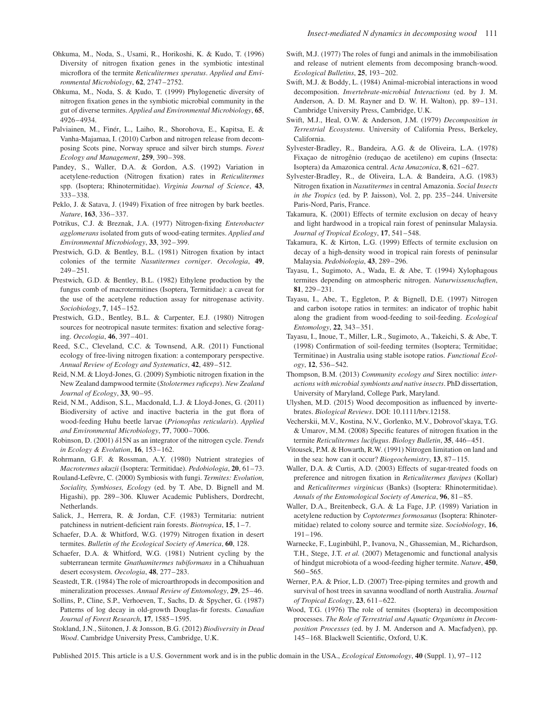- Ohkuma, M., Noda, S., Usami, R., Horikoshi, K. & Kudo, T. (1996) Diversity of nitrogen fixation genes in the symbiotic intestinal microflora of the termite *Reticulitermes speratus*. *Applied and Environmental Microbiology*, **62**, 2747–2752.
- Ohkuma, M., Noda, S. & Kudo, T. (1999) Phylogenetic diversity of nitrogen fixation genes in the symbiotic microbial community in the gut of diverse termites. *Applied and Environmental Microbiology*, **65**, 4926–4934.
- Palviainen, M., Finér, L., Laiho, R., Shorohova, E., Kapitsa, E. & Vanha-Majamaa, I. (2010) Carbon and nitrogen release from decomposing Scots pine, Norway spruce and silver birch stumps. *Forest Ecology and Management*, **259**, 390–398.
- Pandey, S., Waller, D.A. & Gordon, A.S. (1992) Variation in acetylene-reduction (Nitrogen fixation) rates in *Reticulitermes* spp. (Isoptera; Rhinotermitidae). *Virginia Journal of Science*, **43**, 333–338.
- Peklo, J. & Satava, J. (1949) Fixation of free nitrogen by bark beetles. *Nature*, **163**, 336–337.
- Potrikus, C.J. & Breznak, J.A. (1977) Nitrogen-fixing *Enterobacter agglomerans* isolated from guts of wood-eating termites. *Applied and Environmental Microbiology*, **33**, 392–399.
- Prestwich, G.D. & Bentley, B.L. (1981) Nitrogen fixation by intact colonies of the termite *Nasutitermes corniger*. *Oecologia*, **49**, 249–251.
- Prestwich, G.D. & Bentley, B.L. (1982) Ethylene production by the fungus comb of macrotermitines (Isoptera, Termitidae): a caveat for the use of the acetylene reduction assay for nitrogenase activity. *Sociobiology*, **7**, 145–152.
- Prestwich, G.D., Bentley, B.L. & Carpenter, E.J. (1980) Nitrogen sources for neotropical nasute termites: fixation and selective foraging. *Oecologia*, **46**, 397–401.
- Reed, S.C., Cleveland, C.C. & Townsend, A.R. (2011) Functional ecology of free-living nitrogen fixation: a contemporary perspective. *Annual Review of Ecology and Systematics*, **42**, 489–512.
- Reid, N.M. & Lloyd-Jones, G. (2009) Symbiotic nitrogen fixation in the New Zealand dampwood termite (*Stolotermes ruficeps*). *New Zealand Journal of Ecology*, **33**, 90–95.
- Reid, N.M., Addison, S.L., Macdonald, L.J. & Lloyd-Jones, G. (2011) Biodiversity of active and inactive bacteria in the gut flora of wood-feeding Huhu beetle larvae (*Prionoplus reticularis*). *Applied and Environmental Microbiology*, **77**, 7000–7006.
- Robinson, D. (2001)  $\delta$ 15N as an integrator of the nitrogen cycle. *Trends in Ecology & Evolution*, **16**, 153–162.
- Rohrmann, G.F. & Rossman, A.Y. (1980) Nutrient strategies of *Macrotermes ukuzii* (Isoptera: Termitidae). *Pedobiologia*, **20**, 61–73.
- Rouland-Lefèvre, C. (2000) Symbiosis with fungi. *Termites: Evolution, Sociality, Symbioses, Ecology* (ed. by T. Abe, D. Bignell and M. Higashi), pp. 289–306. Kluwer Academic Publishers, Dordrecht, Netherlands.
- Salick, J., Herrera, R. & Jordan, C.F. (1983) Termitaria: nutrient patchiness in nutrient-deficient rain forests. *Biotropica*, **15**, 1–7.
- Schaefer, D.A. & Whitford, W.G. (1979) Nitrogen fixation in desert termites. *Bulletin of the Ecological Society of America*, **60**, 128.
- Schaefer, D.A. & Whitford, W.G. (1981) Nutrient cycling by the subterranean termite *Gnathamitermes tubiformans* in a Chihuahuan desert ecosystem. *Oecologia*, **48**, 277–283.
- Seastedt, T.R. (1984) The role of microarthropods in decomposition and mineralization processes. *Annual Review of Entomology*, **29**, 25–46.
- Sollins, P., Cline, S.P., Verhoeven, T., Sachs, D. & Spycher, G. (1987) Patterns of log decay in old-growth Douglas-fir forests. *Canadian Journal of Forest Research*, **17**, 1585–1595.
- Stokland, J.N., Siitonen, J. & Jonsson, B.G. (2012) *Biodiversity in Dead Wood*. Cambridge University Press, Cambridge, U.K.
- Swift, M.J. (1977) The roles of fungi and animals in the immobilisation and release of nutrient elements from decomposing branch-wood. *Ecological Bulletins*, **25**, 193–202.
- Swift, M.J. & Boddy, L. (1984) Animal-microbial interactions in wood decomposition. *Invertebrate-microbial Interactions* (ed. by J. M. Anderson, A. D. M. Rayner and D. W. H. Walton), pp. 89–131. Cambridge University Press, Cambridge, U.K.
- Swift, M.J., Heal, O.W. & Anderson, J.M. (1979) *Decomposition in Terrestrial Ecosystems*. University of California Press, Berkeley, California.
- Sylvester-Bradley, R., Bandeira, A.G. & de Oliveira, L.A. (1978) Fixaçao de nitrogênio (reduçao de acetileno) em cupins (Insecta: Isoptera) da Amazonica central. *Acta Amazonica*, **8**, 621–627.
- Sylvester-Bradley, R., de Oliveira, L.A. & Bandeira, A.G. (1983) Nitrogen fixation in *Nasutitermes* in central Amazonia. *Social Insects in the Tropics* (ed. by P. Jaisson), Vol. 2, pp. 235–244. Universite Paris-Nord, Paris, France.
- Takamura, K. (2001) Effects of termite exclusion on decay of heavy and light hardwood in a tropical rain forest of peninsular Malaysia. *Journal of Tropical Ecology*, **17**, 541–548.
- Takamura, K. & Kirton, L.G. (1999) Effects of termite exclusion on decay of a high-density wood in tropical rain forests of peninsular Malaysia. *Pedobiologia*, **43**, 289–296.
- Tayasu, I., Sugimoto, A., Wada, E. & Abe, T. (1994) Xylophagous termites depending on atmospheric nitrogen. *Naturwissenschaften*, **81**, 229–231.
- Tayasu, I., Abe, T., Eggleton, P. & Bignell, D.E. (1997) Nitrogen and carbon isotope ratios in termites: an indicator of trophic habit along the gradient from wood-feeding to soil-feeding. *Ecological Entomology*, **22**, 343–351.
- Tayasu, I., Inoue, T., Miller, L.R., Sugimoto, A., Takeichi, S. & Abe, T. (1998) Confirmation of soil-feeding termites (Isoptera; Termitidae; Termitinae) in Australia using stable isotope ratios. *Functional Ecology*, **12**, 536–542.
- Thompson, B.M. (2013) *Community ecology and* Sirex noctilio: *interactions with microbial symbionts and native insects*. PhD dissertation, University of Maryland, College Park, Maryland.
- Ulyshen, M.D. (2015) Wood decomposition as influenced by invertebrates. *Biological Reviews*. DOI: 10.1111/brv.12158.
- Vecherskii, M.V., Kostina, N.V., Gorlenko, M.V., Dobrovol'skaya, T.G. & Umarov, M.M. (2008) Specific features of nitrogen fixation in the termite *Reticulitermes lucifugus*. *Biology Bulletin*, **35**, 446–451.
- Vitousek, P.M. & Howarth, R.W. (1991) Nitrogen limitation on land and in the sea: how can it occur? *Biogeochemistry*, **13**, 87–115.
- Waller, D.A. & Curtis, A.D. (2003) Effects of sugar-treated foods on preference and nitrogen fixation in *Reticulitermes flavipes* (Kollar) and *Reticulitermes virginicus* (Banks) (Isoptera: Rhinotermitidae). *Annals of the Entomological Society of America*, **96**, 81–85.
- Waller, D.A., Breitenbeck, G.A. & La Fage, J.P. (1989) Variation in acetylene reduction by *Coptotermes formosanus* (Isoptera: Rhinotermitidae) related to colony source and termite size. *Sociobiology*, **16**, 191–196.
- Warnecke, F., Luginbühl, P., Ivanova, N., Ghassemian, M., Richardson, T.H., Stege, J.T. *et al.* (2007) Metagenomic and functional analysis of hindgut microbiota of a wood-feeding higher termite. *Nature*, **450**, 560–565.
- Werner, P.A. & Prior, L.D. (2007) Tree-piping termites and growth and survival of host trees in savanna woodland of north Australia. *Journal of Tropical Ecology*, **23**, 611–622.
- Wood, T.G. (1976) The role of termites (Isoptera) in decomposition processes. *The Role of Terrestrial and Aquatic Organisms in Decomposition Processes* (ed. by J. M. Anderson and A. Macfadyen), pp. 145–168. Blackwell Scientific, Oxford, U.K.
- Published 2015. This article is a U.S. Government work and is in the public domain in the USA., *Ecological Entomology*, **40** (Suppl. 1), 97–112